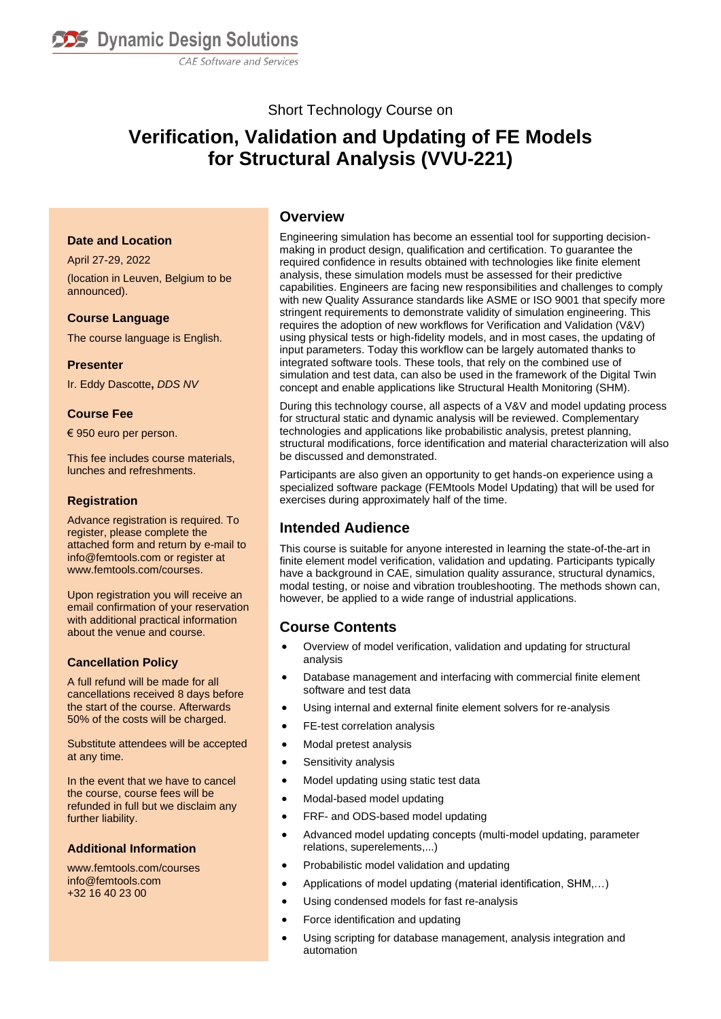

CAE Software and Services

## Short Technology Course on

## **Verification, Validation and Updating of FE Models for Structural Analysis (VVU-221)**

#### **Date and Location**

April 27-29, 2022 (location in Leuven, Belgium to be announced).

#### **Course Language**

The course language is English.

#### **Presenter**

Ir. Eddy Dascotte**,** *DDS NV*

#### **Course Fee**

€ 950 euro per person.

This fee includes course materials, lunches and refreshments.

#### **Registration**

Advance registration is required. To register, please complete the attached form and return by e-mail to info@femtools.com or register at www.femtools.com/courses.

Upon registration you will receive an email confirmation of your reservation with additional practical information about the venue and course.

#### **Cancellation Policy**

A full refund will be made for all cancellations received 8 days before the start of the course. Afterwards 50% of the costs will be charged.

Substitute attendees will be accepted at any time.

In the event that we have to cancel the course, course fees will be refunded in full but we disclaim any further liability.

#### **Additional Information**

www.femtools.com/courses info@femtools.com +32 16 40 23 00

#### **Overview**

Engineering simulation has become an essential tool for supporting decisionmaking in product design, qualification and certification. To guarantee the required confidence in results obtained with technologies like finite element analysis, these simulation models must be assessed for their predictive capabilities. Engineers are facing new responsibilities and challenges to comply with new Quality Assurance standards like ASME or ISO 9001 that specify more stringent requirements to demonstrate validity of simulation engineering. This requires the adoption of new workflows for Verification and Validation (V&V) using physical tests or high-fidelity models, and in most cases, the updating of input parameters. Today this workflow can be largely automated thanks to integrated software tools. These tools, that rely on the combined use of simulation and test data, can also be used in the framework of the Digital Twin concept and enable applications like Structural Health Monitoring (SHM).

During this technology course, all aspects of a V&V and model updating process for structural static and dynamic analysis will be reviewed. Complementary technologies and applications like probabilistic analysis, pretest planning, structural modifications, force identification and material characterization will also be discussed and demonstrated.

Participants are also given an opportunity to get hands-on experience using a specialized software package [\(FEMtools Model Updating\)](file:///C:/Mysites/femtools/products/ftmu.htm) that will be used for exercises during approximately half of the time.

## **Intended Audience**

This course is suitable for anyone interested in learning the state-of-the-art in finite element model verification, validation and updating. Participants typically have a background in CAE, simulation quality assurance, structural dynamics, modal testing, or noise and vibration troubleshooting. The methods shown can, however, be applied to a wide range of industrial applications.

## **Course Contents**

- Overview of model verification, validation and updating for structural analysis
- Database management and interfacing with commercial finite element software and test data
- Using internal and external finite element solvers for re-analysis
- FE-test correlation analysis
- Modal pretest analysis
- Sensitivity analysis
- Model updating using static test data
- Modal-based model updating
- FRF- and ODS-based model updating
- Advanced model updating concepts (multi-model updating, parameter relations, superelements,...)
- Probabilistic model validation and updating
- Applications of model updating (material identification, SHM,…)
- Using condensed models for fast re-analysis
- Force identification and updating
- Using scripting for database management, analysis integration and automation